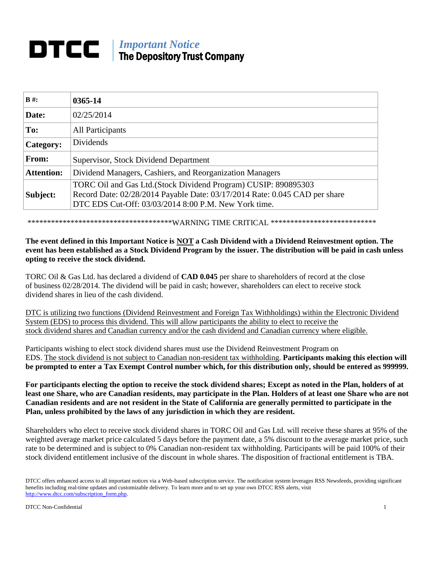# *Important Notice* The Depository Trust Company

| $B#$ :            | 0365-14                                                                                                                            |
|-------------------|------------------------------------------------------------------------------------------------------------------------------------|
| Date:             | 02/25/2014                                                                                                                         |
| To:               | All Participants                                                                                                                   |
| Category:         | <b>Dividends</b>                                                                                                                   |
| From:             | Supervisor, Stock Dividend Department                                                                                              |
| <b>Attention:</b> | Dividend Managers, Cashiers, and Reorganization Managers                                                                           |
|                   | TORC Oil and Gas Ltd. (Stock Dividend Program) CUSIP: 890895303                                                                    |
| Subject:          | Record Date: 02/28/2014 Payable Date: 03/17/2014 Rate: 0.045 CAD per share<br>DTC EDS Cut-Off: 03/03/2014 8:00 P.M. New York time. |

\*\*\*\*\*\*\*\*\*\*\*\*\*\*\*\*\*\*\*\*\*\*\*\*\*\*\*\*\*\*\*\*\*\*\*\*\*WARNING TIME CRITICAL \*\*\*\*\*\*\*\*\*\*\*\*\*\*\*\*\*\*\*\*\*\*\*\*\*\*\*

## **The event defined in this Important Notice is NOT a Cash Dividend with a Dividend Reinvestment option. The event has been established as a Stock Dividend Program by the issuer. The distribution will be paid in cash unless opting to receive the stock dividend.**

TORC Oil & Gas Ltd. has declared a dividend of **CAD 0.045** per share to shareholders of record at the close of business 02/28/2014. The dividend will be paid in cash; however, shareholders can elect to receive stock dividend shares in lieu of the cash dividend.

DTC is utilizing two functions (Dividend Reinvestment and Foreign Tax Withholdings) within the Electronic Dividend System (EDS) to process this dividend. This will allow participants the ability to elect to receive the stock dividend shares and Canadian currency and/or the cash dividend and Canadian currency where eligible.

Participants wishing to elect stock dividend shares must use the Dividend Reinvestment Program on EDS. The stock dividend is not subject to Canadian non-resident tax withholding. **Participants making this election will be prompted to enter a Tax Exempt Control number which, for this distribution only, should be entered as 999999.**

**For participants electing the option to receive the stock dividend shares; Except as noted in the Plan, holders of at least one Share, who are Canadian residents, may participate in the Plan. Holders of at least one Share who are not Canadian residents and are not resident in the State of California are generally permitted to participate in the Plan, unless prohibited by the laws of any jurisdiction in which they are resident.**

Shareholders who elect to receive stock dividend shares in TORC Oil and Gas Ltd. will receive these shares at 95% of the weighted average market price calculated 5 days before the payment date, a 5% discount to the average market price, such rate to be determined and is subject to 0% Canadian non-resident tax withholding. Participants will be paid 100% of their stock dividend entitlement inclusive of the discount in whole shares. The disposition of fractional entitlement is TBA.

DTCC offers enhanced access to all important notices via a Web-based subscription service. The notification system leverages RSS Newsfeeds, providing significant benefits including real-time updates and customizable delivery. To learn more and to set up your own DTCC RSS alerts, visit http://www.dtcc.com/subscription\_form.php.